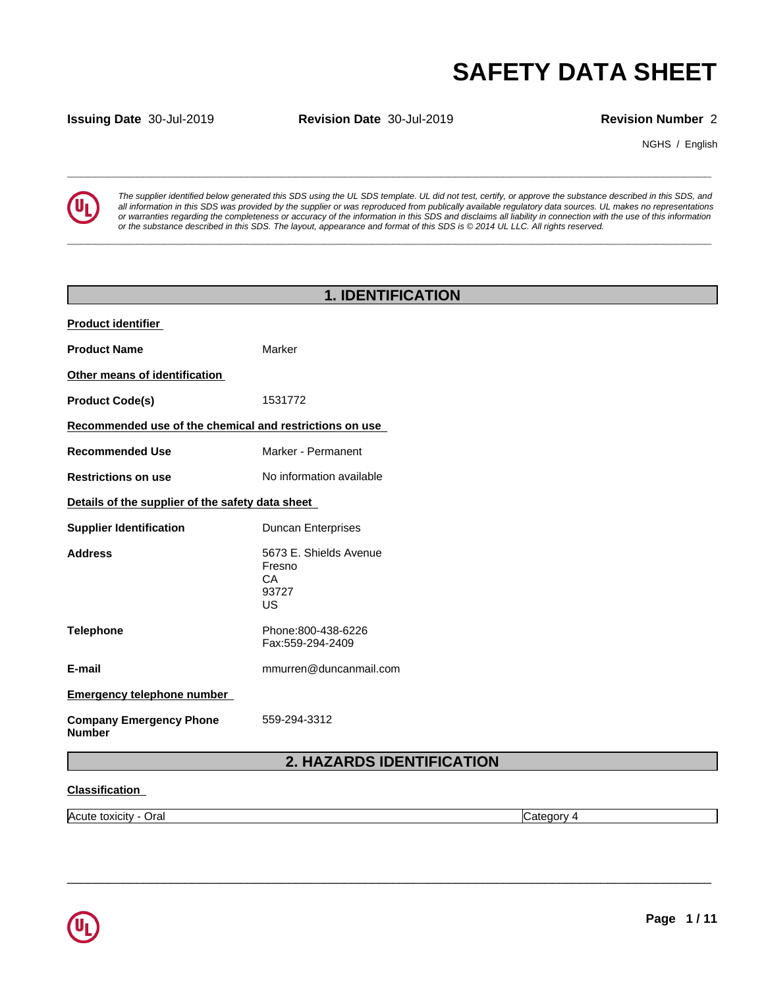**Issuing Date** 30-Jul-2019 **Revision Date** 30-Jul-2019 **Revision Number** 2

NGHS / English



**SAFETY DATA SHEET**<br> **SECULTER SEVING ANTAL SHEET**<br>
Revision Number 2<br>
NGHS / English<br>
The supplier identified below generated this SDS using the UL SDS template. UL did not test, certify, or approve the substance describe *The supplier identified below generated this SDS using the UL SDS template. UL did not test, certify, or approve the substance described in this SDS, and* all information in this SDS was provided by the supplier or was reproduced from publically available regulatory data sources. UL makes no representations or warranties regarding the completeness or accuracy of the information in this SDS and disclaims all liability in connection with the use of this information or the substance described in this SDS. The layout, appearance and format of this SDS is @2014 UL LLC. All rights reserved.

**\_\_\_\_\_\_\_\_\_\_\_\_\_\_\_\_\_\_\_\_\_\_\_\_\_\_\_\_\_\_\_\_\_\_\_\_\_\_\_\_\_\_\_\_\_\_\_\_\_\_\_\_\_\_\_\_\_\_\_\_\_\_\_\_\_\_\_\_\_\_\_\_\_\_\_\_\_\_\_\_\_\_\_\_\_\_\_\_\_\_\_\_\_**

| <b>1. IDENTIFICATION</b>                                |                                                       |  |  |  |
|---------------------------------------------------------|-------------------------------------------------------|--|--|--|
| Product identifier                                      |                                                       |  |  |  |
| <b>Product Name</b>                                     | Marker                                                |  |  |  |
| Other means of identification                           |                                                       |  |  |  |
| <b>Product Code(s)</b>                                  | 1531772                                               |  |  |  |
| Recommended use of the chemical and restrictions on use |                                                       |  |  |  |
| <b>Recommended Use</b>                                  | Marker - Permanent                                    |  |  |  |
| <b>Restrictions on use</b>                              | No information available                              |  |  |  |
| Details of the supplier of the safety data sheet        |                                                       |  |  |  |
| <b>Supplier Identification</b>                          | <b>Duncan Enterprises</b>                             |  |  |  |
| <b>Address</b>                                          | 5673 E. Shields Avenue<br>Fresno<br>CA<br>93727<br>US |  |  |  |
| <b>Telephone</b>                                        | Phone:800-438-6226<br>Fax:559-294-2409                |  |  |  |
| E-mail                                                  | mmurren@duncanmail.com                                |  |  |  |
| <b>Emergency telephone number</b>                       |                                                       |  |  |  |
| <b>Company Emergency Phone</b><br><b>Number</b>         | 559-294-3312                                          |  |  |  |
|                                                         | 2. HAZARDS IDENTIFICATION                             |  |  |  |
| <b>Classification</b>                                   |                                                       |  |  |  |

Acute toxicity - Oral Category 4

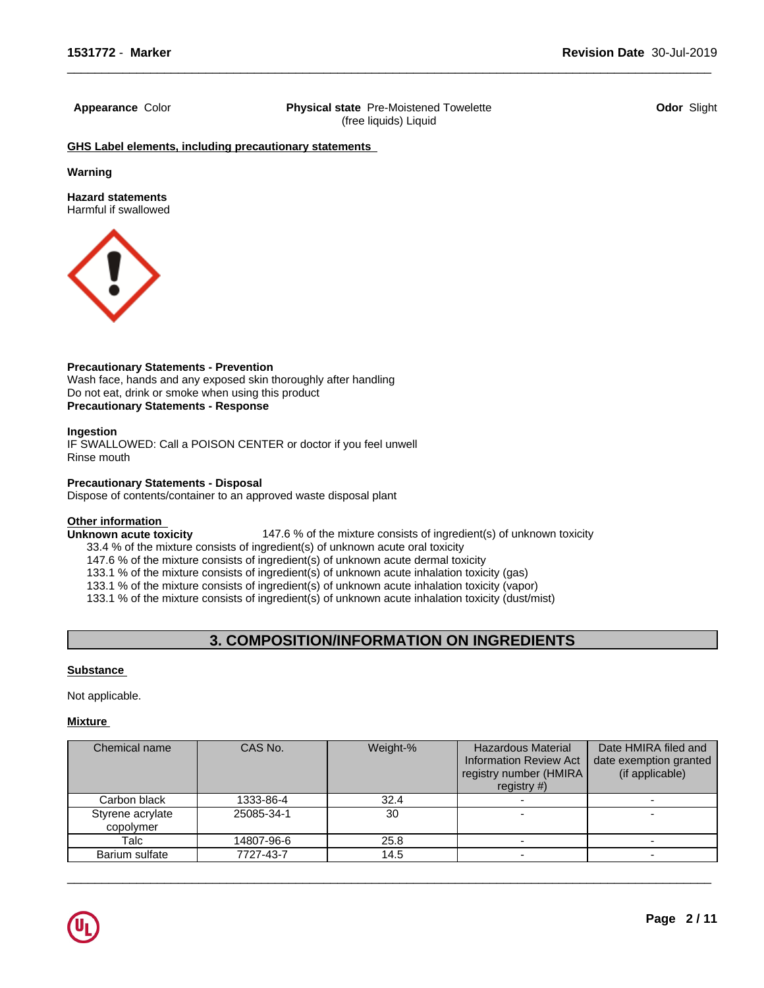**Appearance** Color **Physical state** Pre-Moistened Towelette (free liquids) Liquid

 $\overline{\phantom{a}}$  ,  $\overline{\phantom{a}}$  ,  $\overline{\phantom{a}}$  ,  $\overline{\phantom{a}}$  ,  $\overline{\phantom{a}}$  ,  $\overline{\phantom{a}}$  ,  $\overline{\phantom{a}}$  ,  $\overline{\phantom{a}}$  ,  $\overline{\phantom{a}}$  ,  $\overline{\phantom{a}}$  ,  $\overline{\phantom{a}}$  ,  $\overline{\phantom{a}}$  ,  $\overline{\phantom{a}}$  ,  $\overline{\phantom{a}}$  ,  $\overline{\phantom{a}}$  ,  $\overline{\phantom{a}}$ 

**Odor** Slight

**GHS Label elements, including precautionary statements**

**Warning**

**Hazard statements** Harmful if swallowed



**Precautionary Statements - Prevention** Wash face, hands and any exposed skin thoroughly after handling Do not eat, drink or smoke when using this product **Precautionary Statements - Response**

# **Ingestion**

IF SWALLOWED: Call a POISON CENTER or doctor if you feel unwell Rinse mouth

# **Precautionary Statements - Disposal**

Dispose of contents/container to an approved waste disposal plant

**Other information**<br> **Unknown acute toxicity 147.6 % of the mixture consists of ingredient(s) of unknown toxicity** 

33.4 % of the mixture consists of ingredient(s) of unknown acute oral toxicity

147.6 % of the mixture consists of ingredient(s) of unknown acute dermal toxicity

133.1 % of the mixture consists of ingredient(s) of unknown acute inhalation toxicity (gas)

133.1 % of the mixture consists of ingredient(s) of unknown acute inhalation toxicity (vapor)

133.1 % of the mixture consists of ingredient(s) of unknown acute inhalation toxicity (dust/mist)

# **3. COMPOSITION/INFORMATION ON INGREDIENTS**

# **Substance**

Not applicable.

# **Mixture**

| Chemical name                 | CAS No.    | Weight-% | <b>Hazardous Material</b><br><b>Information Review Act</b><br>registry number (HMIRA)<br>registry $#$ ) | Date HMIRA filed and<br>date exemption granted<br>(if applicable) |
|-------------------------------|------------|----------|---------------------------------------------------------------------------------------------------------|-------------------------------------------------------------------|
| Carbon black                  | 1333-86-4  | 32.4     |                                                                                                         |                                                                   |
| Styrene acrylate<br>copolymer | 25085-34-1 | 30       |                                                                                                         |                                                                   |
| Talc                          | 14807-96-6 | 25.8     |                                                                                                         |                                                                   |
| Barium sulfate                | 7727-43-7  | 14.5     |                                                                                                         |                                                                   |

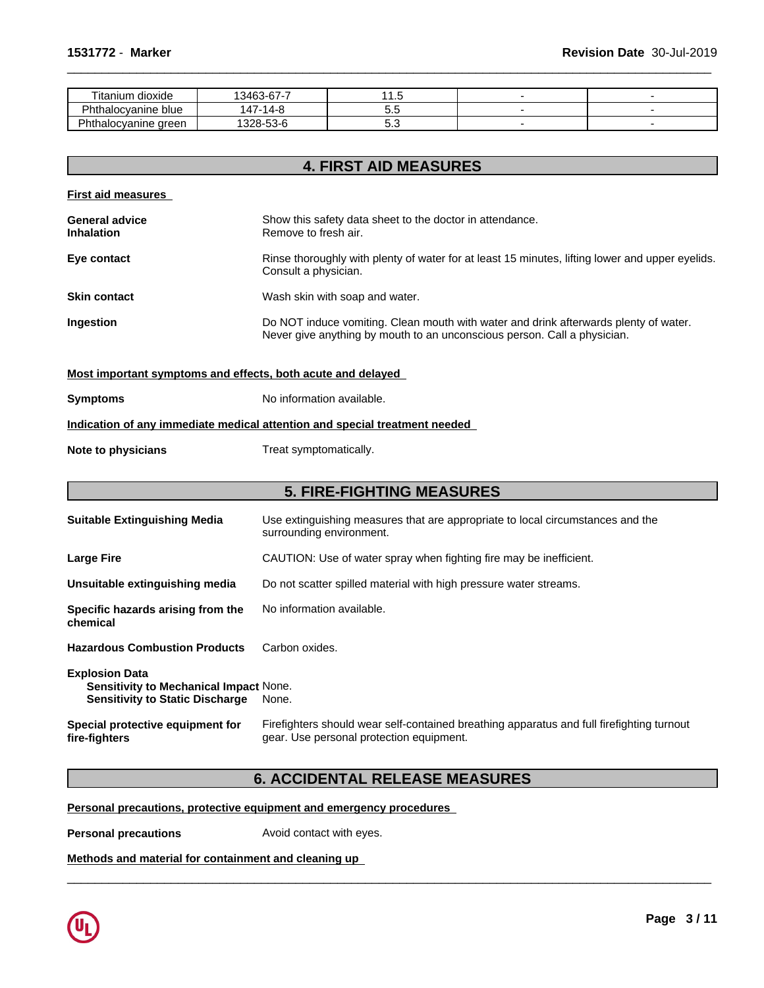| --<br>$\cdot$ .<br>dioxide<br>⊺ıtanıum | $\sim$<br>। २४६२<br>- ۵- ت<br>-07 - 1 |     |  |
|----------------------------------------|---------------------------------------|-----|--|
| --<br>'hthalocyanine blue              | . .<br>и-                             | v.J |  |
| DL.<br>areen<br>nalocvanine            | -^<br>$22 - 7$<br>.ാ⊃∽                | J.J |  |

 $\overline{\phantom{a}}$  ,  $\overline{\phantom{a}}$  ,  $\overline{\phantom{a}}$  ,  $\overline{\phantom{a}}$  ,  $\overline{\phantom{a}}$  ,  $\overline{\phantom{a}}$  ,  $\overline{\phantom{a}}$  ,  $\overline{\phantom{a}}$  ,  $\overline{\phantom{a}}$  ,  $\overline{\phantom{a}}$  ,  $\overline{\phantom{a}}$  ,  $\overline{\phantom{a}}$  ,  $\overline{\phantom{a}}$  ,  $\overline{\phantom{a}}$  ,  $\overline{\phantom{a}}$  ,  $\overline{\phantom{a}}$ 

|                                                             | <b>4. FIRST AID MEASURES</b>                                                                                                                                     |
|-------------------------------------------------------------|------------------------------------------------------------------------------------------------------------------------------------------------------------------|
| <b>First aid measures</b>                                   |                                                                                                                                                                  |
| <b>General advice</b><br><b>Inhalation</b>                  | Show this safety data sheet to the doctor in attendance.<br>Remove to fresh air.                                                                                 |
| Eye contact                                                 | Rinse thoroughly with plenty of water for at least 15 minutes, lifting lower and upper eyelids.<br>Consult a physician.                                          |
| <b>Skin contact</b>                                         | Wash skin with soap and water.                                                                                                                                   |
| Ingestion                                                   | Do NOT induce vomiting. Clean mouth with water and drink afterwards plenty of water.<br>Never give anything by mouth to an unconscious person. Call a physician. |
| Most important symptoms and effects, both acute and delayed |                                                                                                                                                                  |
| <b>Symptoms</b>                                             | No information available.                                                                                                                                        |
|                                                             | Indication of any immediate medical attention and special treatment needed                                                                                       |
| Note to physicians                                          | Treat symptomatically.                                                                                                                                           |
|                                                             | <b>5. FIRE-FIGHTING MEASURES</b>                                                                                                                                 |
| <b>Suitable Extinguishing Media</b>                         | Use extinguishing measures that are appropriate to local circumstances and the<br>surrounding environment.                                                       |
| <b>Large Fire</b>                                           | CAUTION: Use of water spray when fighting fire may be inefficient.                                                                                               |

**Unsuitable extinguishing media** Do not scatter spilled material with high pressure water streams.

**Specific hazards arising from the chemical** No information available.

**Hazardous Combustion Products** Carbon oxides.

**Explosion Data Sensitivity to Mechanical Impact** None. **Sensitivity to Static Discharge** None.

**Special protective equipment for fire-fighters**

Firefighters should wear self-contained breathing apparatus and full firefighting turnout gear. Use personal protection equipment.

 $\overline{\phantom{a}}$  ,  $\overline{\phantom{a}}$  ,  $\overline{\phantom{a}}$  ,  $\overline{\phantom{a}}$  ,  $\overline{\phantom{a}}$  ,  $\overline{\phantom{a}}$  ,  $\overline{\phantom{a}}$  ,  $\overline{\phantom{a}}$  ,  $\overline{\phantom{a}}$  ,  $\overline{\phantom{a}}$  ,  $\overline{\phantom{a}}$  ,  $\overline{\phantom{a}}$  ,  $\overline{\phantom{a}}$  ,  $\overline{\phantom{a}}$  ,  $\overline{\phantom{a}}$  ,  $\overline{\phantom{a}}$ 

# **6. ACCIDENTAL RELEASE MEASURES**

**Personal precautions, protective equipment and emergency procedures**

**Personal precautions Avoid contact with eyes.** 

**Methods and material for containment and cleaning up**

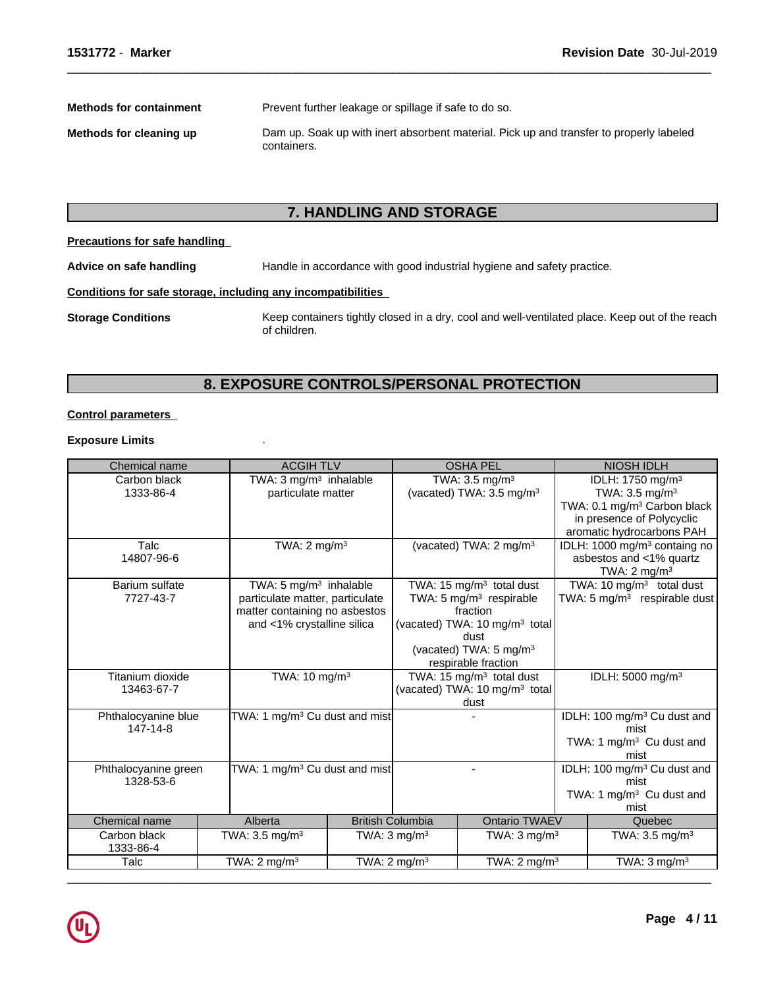**Methods for containment** Prevent further leakage or spillage if safe to do so.

**Methods for cleaning up** Dam up. Soak up with inert absorbent material. Pick up and transfer to properly labeled containers.

 $\overline{\phantom{a}}$  ,  $\overline{\phantom{a}}$  ,  $\overline{\phantom{a}}$  ,  $\overline{\phantom{a}}$  ,  $\overline{\phantom{a}}$  ,  $\overline{\phantom{a}}$  ,  $\overline{\phantom{a}}$  ,  $\overline{\phantom{a}}$  ,  $\overline{\phantom{a}}$  ,  $\overline{\phantom{a}}$  ,  $\overline{\phantom{a}}$  ,  $\overline{\phantom{a}}$  ,  $\overline{\phantom{a}}$  ,  $\overline{\phantom{a}}$  ,  $\overline{\phantom{a}}$  ,  $\overline{\phantom{a}}$ 

# **7. HANDLING AND STORAGE**

# **Precautions for safe handling**

**Advice on safe handling** Handle in accordance with good industrial hygiene and safety practice.

# **Conditions for safe storage, including any incompatibilities**

**Storage Conditions** Keep containers tightly closed in a dry, cool and well-ventilated place. Keep out of the reach of children.

# **8. EXPOSURE CONTROLS/PERSONAL PROTECTION**

# **Control parameters**

# **Exposure Limits** .

| Carbon black<br>1333-86-4 | TWA: 3 mg/m <sup>3</sup> inhalable        |  |                                           |                                           |  |                                          |
|---------------------------|-------------------------------------------|--|-------------------------------------------|-------------------------------------------|--|------------------------------------------|
|                           |                                           |  | TWA: 3.5 mg/m <sup>3</sup>                |                                           |  | IDLH: 1750 mg/m <sup>3</sup>             |
|                           | particulate matter                        |  | (vacated) TWA: $3.5 \text{ mg/m}^3$       |                                           |  | TWA: $3.5 \text{ mg/m}^3$                |
|                           |                                           |  |                                           |                                           |  | TWA: 0.1 mg/m <sup>3</sup> Carbon black  |
|                           |                                           |  |                                           |                                           |  | in presence of Polycyclic                |
|                           |                                           |  |                                           |                                           |  | aromatic hydrocarbons PAH                |
| Talc                      | TWA: $2 \text{ mg/m}^3$                   |  |                                           | (vacated) TWA: 2 mg/m <sup>3</sup>        |  | IDLH: 1000 mg/m <sup>3</sup> containg no |
| 14807-96-6                |                                           |  |                                           |                                           |  | asbestos and <1% quartz                  |
|                           |                                           |  |                                           |                                           |  | TWA: $2 \text{ mg/m}^3$                  |
| Barium sulfate            | TWA: 5 $mg/m3$ inhalable                  |  |                                           | TWA: 15 mg/m <sup>3</sup> total dust      |  | TWA: 10 $mg/m3$ total dust               |
| 7727-43-7                 | particulate matter, particulate           |  |                                           | TWA: 5 mg/m $3$ respirable                |  | TWA: 5 mg/m <sup>3</sup> respirable dust |
|                           | matter containing no asbestos             |  |                                           | fraction                                  |  |                                          |
|                           | and <1% crystalline silica                |  |                                           | (vacated) TWA: 10 mg/m <sup>3</sup> total |  |                                          |
|                           |                                           |  |                                           | dust                                      |  |                                          |
|                           |                                           |  |                                           | (vacated) TWA: 5 mg/m <sup>3</sup>        |  |                                          |
|                           |                                           |  |                                           | respirable fraction                       |  |                                          |
| Titanium dioxide          | TWA: 10 mg/m <sup>3</sup>                 |  | TWA: 15 mg/m <sup>3</sup> total dust      |                                           |  | IDLH: 5000 mg/m <sup>3</sup>             |
| 13463-67-7                |                                           |  | (vacated) TWA: 10 mg/m <sup>3</sup> total |                                           |  |                                          |
|                           |                                           |  |                                           | dust                                      |  |                                          |
| Phthalocyanine blue       | TWA: 1 mg/m <sup>3</sup> Cu dust and mist |  |                                           |                                           |  | IDLH: 100 mg/m <sup>3</sup> Cu dust and  |
| 147-14-8                  |                                           |  |                                           |                                           |  | mist                                     |
|                           |                                           |  |                                           |                                           |  | TWA: 1 mg/m <sup>3</sup> Cu dust and     |
|                           |                                           |  |                                           |                                           |  | mist                                     |
| Phthalocyanine green      | TWA: 1 mg/m <sup>3</sup> Cu dust and mist |  |                                           |                                           |  | IDLH: 100 mg/m <sup>3</sup> Cu dust and  |
| 1328-53-6                 |                                           |  |                                           |                                           |  | mist                                     |
|                           |                                           |  |                                           |                                           |  | TWA: 1 mg/m <sup>3</sup> Cu dust and     |
|                           |                                           |  |                                           |                                           |  | mist                                     |
| Chemical name             | Alberta                                   |  | <b>British Columbia</b>                   | <b>Ontario TWAEV</b>                      |  | Quebec                                   |
| Carbon black              | TWA: $3.5 \text{ mg/m}^3$                 |  | TWA: $3 \text{ mg/m}^3$                   | TWA: $3 \text{ mg/m}^3$                   |  | TWA: $3.5 \text{ mg/m}^3$                |
| 1333-86-4                 |                                           |  |                                           |                                           |  |                                          |
| Talc                      | TWA: $2 \text{ mg/m}^3$                   |  | TWA: $2 \text{ mg/m}^3$                   | TWA: $2 \text{ mg/m}^3$                   |  | TWA: $3 \text{ mg/m}^3$                  |

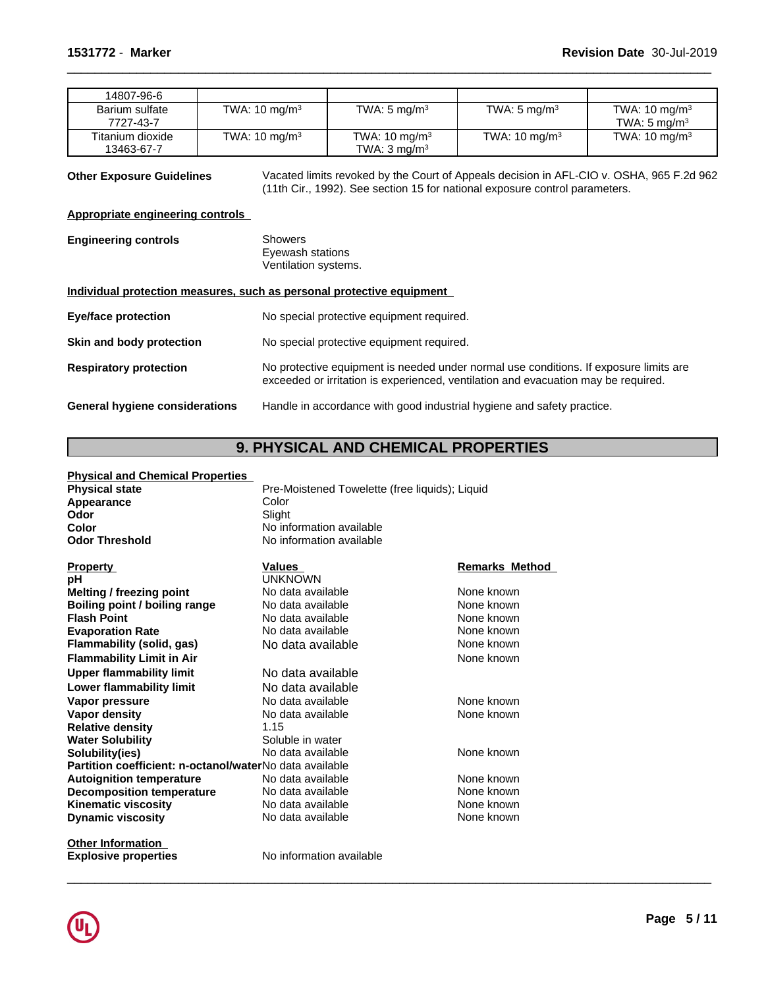| 14807-96-6                  |                          |                          |                          |                                                     |
|-----------------------------|--------------------------|--------------------------|--------------------------|-----------------------------------------------------|
| Barium sulfate<br>7727-43-7 | TWA: $10 \text{ mg/m}^3$ | TWA: $5 \text{ mg/m}^3$  | TWA: 5 mg/m <sup>3</sup> | TWA: $10 \text{ mg/m}^3$<br>TWA: $5 \text{ mg/m}^3$ |
| Titanium dioxide            | TWA: $10 \text{ mg/m}^3$ | TWA: $10 \text{ mg/m}^3$ | TWA: $10 \text{ mg/m}^3$ | TWA: $10 \text{ mg/m}^3$                            |
| 13463-67-7                  |                          | TWA: $3 \text{ mg/m}^3$  |                          |                                                     |

**Other Exposure Guidelines** Vacated limits revoked by the Court of Appeals decision in AFL-CIO v. OSHA, 965 F.2d 962 (11th Cir., 1992). See section 15 for national exposure control parameters.

 $\overline{\phantom{a}}$  ,  $\overline{\phantom{a}}$  ,  $\overline{\phantom{a}}$  ,  $\overline{\phantom{a}}$  ,  $\overline{\phantom{a}}$  ,  $\overline{\phantom{a}}$  ,  $\overline{\phantom{a}}$  ,  $\overline{\phantom{a}}$  ,  $\overline{\phantom{a}}$  ,  $\overline{\phantom{a}}$  ,  $\overline{\phantom{a}}$  ,  $\overline{\phantom{a}}$  ,  $\overline{\phantom{a}}$  ,  $\overline{\phantom{a}}$  ,  $\overline{\phantom{a}}$  ,  $\overline{\phantom{a}}$ 

# **Appropriate engineering controls**

**Engineering controls** Showers Eyewash stations Ventilation systems.

# **Individual protection measures, such as personal protective equipment**

| <b>Eye/face protection</b>     | No special protective equipment required.                                                                                                                                   |
|--------------------------------|-----------------------------------------------------------------------------------------------------------------------------------------------------------------------------|
| Skin and body protection       | No special protective equipment required.                                                                                                                                   |
| <b>Respiratory protection</b>  | No protective equipment is needed under normal use conditions. If exposure limits are<br>exceeded or irritation is experienced, ventilation and evacuation may be required. |
| General hygiene considerations | Handle in accordance with good industrial hygiene and safety practice.                                                                                                      |

# **9. PHYSICAL AND CHEMICAL PROPERTIES**

| <b>Physical and Chemical Properties</b>                 |                                                |                       |
|---------------------------------------------------------|------------------------------------------------|-----------------------|
| <b>Physical state</b>                                   | Pre-Moistened Towelette (free liquids); Liquid |                       |
| <b>Appearance</b>                                       | Color                                          |                       |
| Odor                                                    | Slight                                         |                       |
| Color                                                   | No information available                       |                       |
| <b>Odor Threshold</b>                                   | No information available                       |                       |
| <b>Property</b>                                         | <b>Values</b>                                  | <b>Remarks Method</b> |
| рH                                                      | <b>UNKNOWN</b>                                 |                       |
| <b>Melting / freezing point</b>                         | No data available                              | None known            |
| Boiling point / boiling range                           | No data available                              | None known            |
| <b>Flash Point</b>                                      | No data available                              | None known            |
| <b>Evaporation Rate</b>                                 | No data available                              | None known            |
| Flammability (solid, gas)                               | No data available                              | None known            |
| <b>Flammability Limit in Air</b>                        |                                                | None known            |
| <b>Upper flammability limit</b>                         | No data available                              |                       |
| Lower flammability limit                                | No data available                              |                       |
| Vapor pressure                                          | No data available                              | None known            |
| Vapor density                                           | No data available                              | None known            |
| <b>Relative density</b>                                 | 1.15                                           |                       |
| <b>Water Solubility</b>                                 | Soluble in water                               |                       |
| Solubility(ies)                                         | No data available                              | None known            |
| Partition coefficient: n-octanol/waterNo data available |                                                |                       |
| <b>Autoignition temperature</b>                         | No data available                              | None known            |
| <b>Decomposition temperature</b>                        | No data available                              | None known            |
| <b>Kinematic viscosity</b>                              | No data available                              | None known            |
| <b>Dynamic viscosity</b>                                | No data available                              | None known            |
| <b>Other Information</b>                                |                                                |                       |

**Explosive properties** No information available

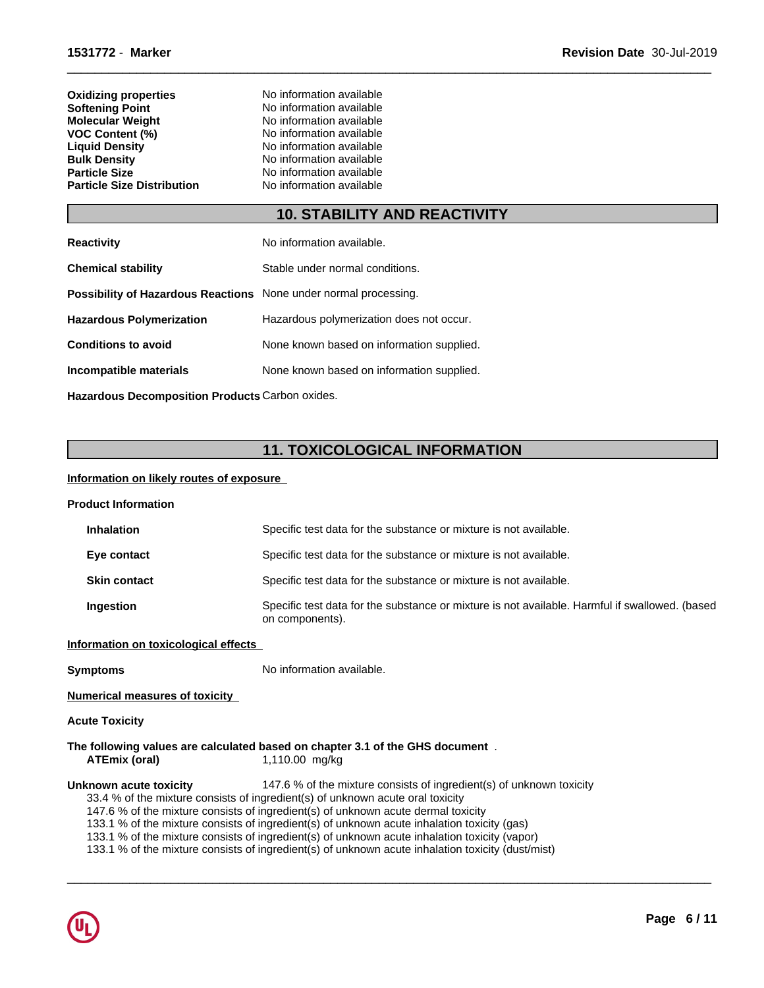| <b>Oxidizing properties</b>       | No information available |
|-----------------------------------|--------------------------|
| Softening Point                   | No information available |
| Molecular Weight                  | No information available |
| VOC Content (%)                   | No information available |
| <b>Liguid Density</b>             | No information available |
| <b>Bulk Density</b>               | No information available |
| Particle Size                     | No information available |
| <b>Particle Size Distribution</b> | No information available |
|                                   |                          |

# **10. STABILITY AND REACTIVITY**

 $\overline{\phantom{a}}$  ,  $\overline{\phantom{a}}$  ,  $\overline{\phantom{a}}$  ,  $\overline{\phantom{a}}$  ,  $\overline{\phantom{a}}$  ,  $\overline{\phantom{a}}$  ,  $\overline{\phantom{a}}$  ,  $\overline{\phantom{a}}$  ,  $\overline{\phantom{a}}$  ,  $\overline{\phantom{a}}$  ,  $\overline{\phantom{a}}$  ,  $\overline{\phantom{a}}$  ,  $\overline{\phantom{a}}$  ,  $\overline{\phantom{a}}$  ,  $\overline{\phantom{a}}$  ,  $\overline{\phantom{a}}$ 

| <b>Reactivity</b>                                                       | No information available.                 |
|-------------------------------------------------------------------------|-------------------------------------------|
| <b>Chemical stability</b>                                               | Stable under normal conditions.           |
| <b>Possibility of Hazardous Reactions</b> None under normal processing. |                                           |
| <b>Hazardous Polymerization</b>                                         | Hazardous polymerization does not occur.  |
| <b>Conditions to avoid</b>                                              | None known based on information supplied. |
| Incompatible materials                                                  | None known based on information supplied. |
|                                                                         |                                           |

**Hazardous Decomposition Products** Carbon oxides.

# **11. TOXICOLOGICAL INFORMATION**

# **Information on likely routes of exposure**

| <b>Product Information</b>            |                                                                                                                                                                                                                                                                                                                                                                                                                                                                                                                                                  |
|---------------------------------------|--------------------------------------------------------------------------------------------------------------------------------------------------------------------------------------------------------------------------------------------------------------------------------------------------------------------------------------------------------------------------------------------------------------------------------------------------------------------------------------------------------------------------------------------------|
| <b>Inhalation</b>                     | Specific test data for the substance or mixture is not available.                                                                                                                                                                                                                                                                                                                                                                                                                                                                                |
| Eye contact                           | Specific test data for the substance or mixture is not available.                                                                                                                                                                                                                                                                                                                                                                                                                                                                                |
| <b>Skin contact</b>                   | Specific test data for the substance or mixture is not available.                                                                                                                                                                                                                                                                                                                                                                                                                                                                                |
| Ingestion                             | Specific test data for the substance or mixture is not available. Harmful if swallowed. (based<br>on components).                                                                                                                                                                                                                                                                                                                                                                                                                                |
| Information on toxicological effects  |                                                                                                                                                                                                                                                                                                                                                                                                                                                                                                                                                  |
| <b>Symptoms</b>                       | No information available.                                                                                                                                                                                                                                                                                                                                                                                                                                                                                                                        |
| <b>Numerical measures of toxicity</b> |                                                                                                                                                                                                                                                                                                                                                                                                                                                                                                                                                  |
| <b>Acute Toxicity</b>                 |                                                                                                                                                                                                                                                                                                                                                                                                                                                                                                                                                  |
| ATEmix (oral)                         | The following values are calculated based on chapter 3.1 of the GHS document.<br>1,110.00 mg/kg                                                                                                                                                                                                                                                                                                                                                                                                                                                  |
| Unknown acute toxicity                | 147.6 % of the mixture consists of ingredient(s) of unknown toxicity<br>33.4 % of the mixture consists of ingredient(s) of unknown acute oral toxicity<br>147.6 % of the mixture consists of ingredient(s) of unknown acute dermal toxicity<br>133.1 % of the mixture consists of ingredient(s) of unknown acute inhalation toxicity (gas)<br>133.1 % of the mixture consists of ingredient(s) of unknown acute inhalation toxicity (vapor)<br>133.1 % of the mixture consists of ingredient(s) of unknown acute inhalation toxicity (dust/mist) |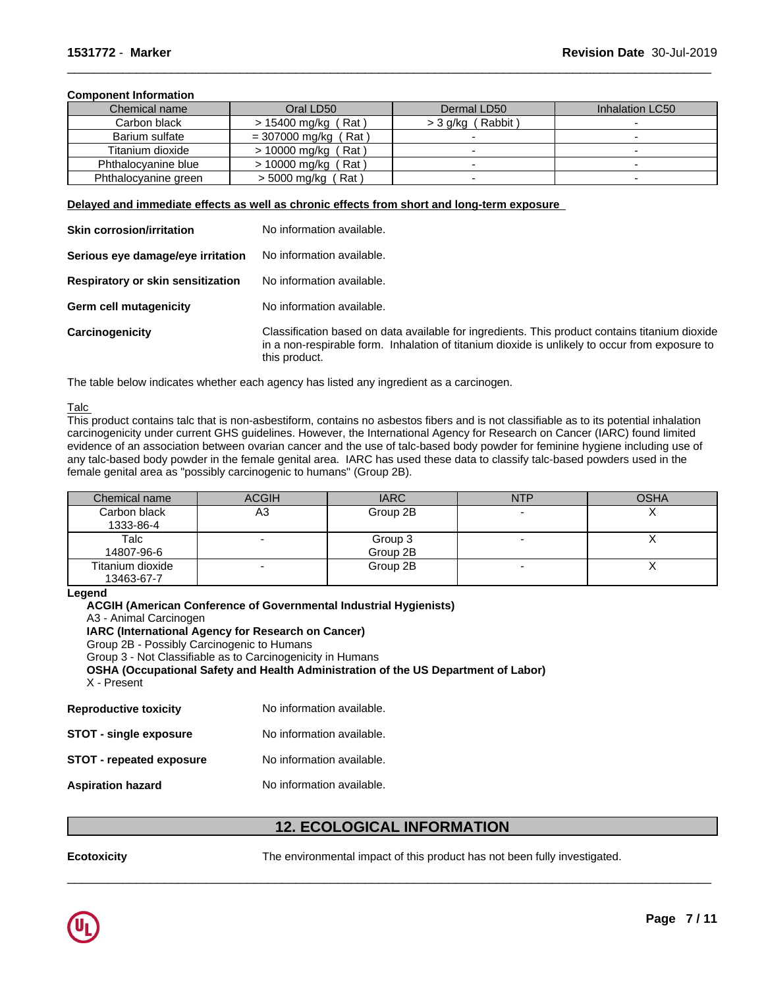# **Component Information**

| Chemical name        | Oral LD50                  | Dermal LD50                   | Inhalation LC50 |
|----------------------|----------------------------|-------------------------------|-----------------|
| Carbon black         | > 15400 mg/kg (Rat)        | Rabbit<br>$>$ 3 g/kg $\prime$ |                 |
| Barium sulfate       | = 307000 mg/kg<br>Rat)     |                               |                 |
| Titanium dioxide     | $> 10000$ mg/kg (<br>(Rat) |                               |                 |
| Phthalocvanine blue  | $> 10000$ mg/kg (Rat)      |                               |                 |
| Phthalocyanine green | (Rat<br>> 5000 mg/kg (     |                               |                 |

 $\overline{\phantom{a}}$  ,  $\overline{\phantom{a}}$  ,  $\overline{\phantom{a}}$  ,  $\overline{\phantom{a}}$  ,  $\overline{\phantom{a}}$  ,  $\overline{\phantom{a}}$  ,  $\overline{\phantom{a}}$  ,  $\overline{\phantom{a}}$  ,  $\overline{\phantom{a}}$  ,  $\overline{\phantom{a}}$  ,  $\overline{\phantom{a}}$  ,  $\overline{\phantom{a}}$  ,  $\overline{\phantom{a}}$  ,  $\overline{\phantom{a}}$  ,  $\overline{\phantom{a}}$  ,  $\overline{\phantom{a}}$ 

**Delayed and immediate effects as well as chronic effects from short and long-term exposure**

| <b>Skin corrosion/irritation</b>         | No information available.                                                                                                                                                                                         |
|------------------------------------------|-------------------------------------------------------------------------------------------------------------------------------------------------------------------------------------------------------------------|
| Serious eye damage/eye irritation        | No information available.                                                                                                                                                                                         |
| <b>Respiratory or skin sensitization</b> | No information available.                                                                                                                                                                                         |
| <b>Germ cell mutagenicity</b>            | No information available.                                                                                                                                                                                         |
| Carcinogenicity                          | Classification based on data available for ingredients. This product contains titanium dioxide<br>in a non-respirable form. Inhalation of titanium dioxide is unlikely to occur from exposure to<br>this product. |

The table below indicates whether each agency has listed any ingredient as a carcinogen.

### Talc

This product contains talc that is non-asbestiform, contains no asbestos fibers and is not classifiable as to its potential inhalation carcinogenicity under current GHS guidelines. However, the International Agency for Research on Cancer (IARC) found limited evidence of an association between ovarian cancer and the use of talc-based body powder for feminine hygiene including use of any talc-based body powder in the female genital area. IARC has used these data to classify talc-based powders used in the female genital area as "possibly carcinogenic to humans" (Group 2B).

| Chemical name                  | <b>ACGIH</b>             | <b>IARC</b>         | <b>NTP</b> | <b>OSHA</b> |
|--------------------------------|--------------------------|---------------------|------------|-------------|
| Carbon black<br>1333-86-4      | A3                       | Group 2B            |            |             |
| Talc<br>14807-96-6             |                          | Group 3<br>Group 2B |            |             |
| Titanium dioxide<br>13463-67-7 | $\overline{\phantom{0}}$ | Group 2B            | -          |             |

#### **Legend**

**ACGIH (American Conference of Governmental Industrial Hygienists)** A3 - Animal Carcinogen **IARC (International Agency for Research on Cancer)** Group 2B - Possibly Carcinogenic to Humans Group 3 - Not Classifiable as to Carcinogenicity in Humans **OSHA (Occupational Safety and Health Administration of the US Department of Labor)** X - Present **Reproductive toxicity** No information available. **STOT** - single exposure No information available.

**STOT** - **repeated exposure** No information available.

**Aspiration hazard** No information available.

# **12. ECOLOGICAL INFORMATION**

**Ecotoxicity** The environmental impact of this product has not been fully investigated.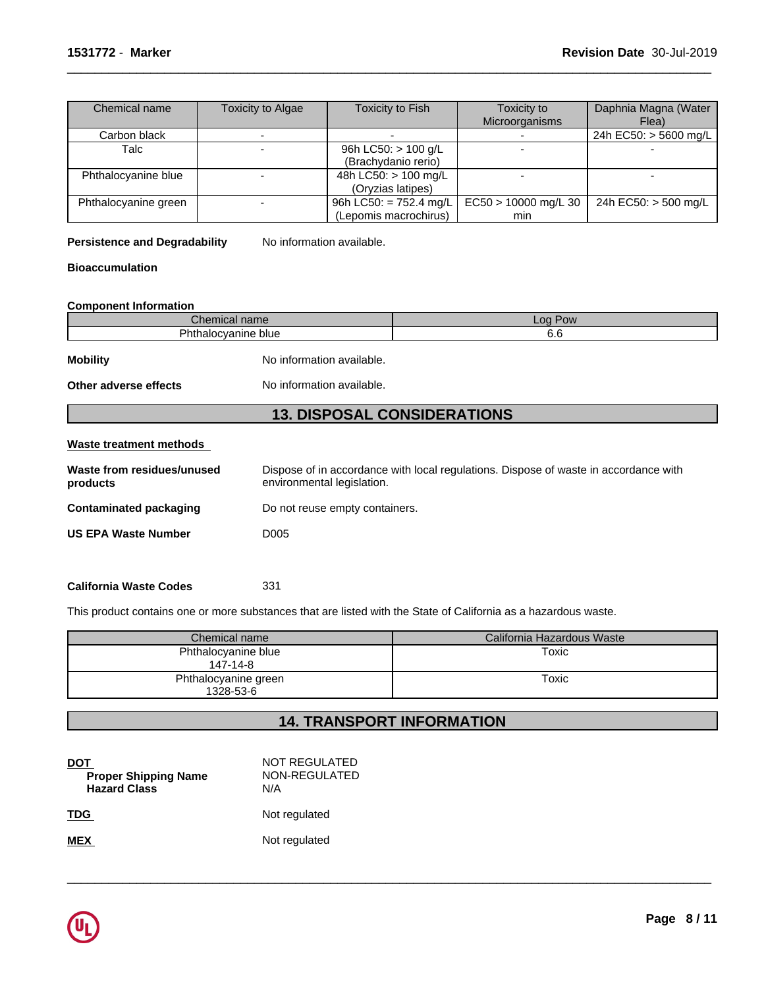| Chemical name        | Toxicity to Algae | Toxicity to Fish       | Toxicity to          | Daphnia Magna (Water  |
|----------------------|-------------------|------------------------|----------------------|-----------------------|
|                      |                   |                        | Microorganisms       | Flea)                 |
| Carbon black         |                   |                        |                      | 24h EC50: > 5600 mg/L |
| Talc                 |                   | 96h LC50: $> 100$ g/L  |                      |                       |
|                      |                   | (Brachydanio rerio)    |                      |                       |
| Phthalocyanine blue  |                   | 48h LC50: $> 100$ mg/L |                      |                       |
|                      |                   | (Oryzias latipes)      |                      |                       |
| Phthalocyanine green |                   | 96h LC50: = 752.4 mg/L | EC50 > 10000 mg/L 30 | 24h EC50: > 500 mg/L  |
|                      |                   | (Lepomis macrochirus)  | min                  |                       |

 $\overline{\phantom{a}}$  ,  $\overline{\phantom{a}}$  ,  $\overline{\phantom{a}}$  ,  $\overline{\phantom{a}}$  ,  $\overline{\phantom{a}}$  ,  $\overline{\phantom{a}}$  ,  $\overline{\phantom{a}}$  ,  $\overline{\phantom{a}}$  ,  $\overline{\phantom{a}}$  ,  $\overline{\phantom{a}}$  ,  $\overline{\phantom{a}}$  ,  $\overline{\phantom{a}}$  ,  $\overline{\phantom{a}}$  ,  $\overline{\phantom{a}}$  ,  $\overline{\phantom{a}}$  ,  $\overline{\phantom{a}}$ 

# **Persistence and Degradability** No information available.

# **Bioaccumulation**

### **Component Information**

| ״<br>סו ווסו         | ററ<br>'OW<br>$-$ |
|----------------------|------------------|
| $\neg$<br>blue<br>ПU | v.u              |
|                      |                  |

**Mobility** No information available.

# **Other adverse effects** No information available.

# **13. DISPOSAL CONSIDERATIONS**

#### **Waste treatment methods**

| Waste from residues/unused<br>products | Dispose of in accordance with local regulations. Dispose of waste in accordance with<br>environmental legislation. |
|----------------------------------------|--------------------------------------------------------------------------------------------------------------------|
| Contaminated packaging                 | Do not reuse empty containers.                                                                                     |
| <b>US EPA Waste Number</b>             | D <sub>005</sub>                                                                                                   |
|                                        |                                                                                                                    |

### **California Waste Codes** 331

This product contains one or more substances that are listed with the State of California as a hazardous waste.

| Chemical name                     | California Hazardous Waste |
|-----------------------------------|----------------------------|
| Phthalocyanine blue<br>147-14-8   | Toxic                      |
| Phthalocyanine green<br>1328-53-6 | Toxic                      |

# **14. TRANSPORT INFORMATION**

| DOT<br><b>Proper Shipping Name</b><br><b>Hazard Class</b> | NOT REGULATED<br>NON-REGULATED<br>N/A |
|-----------------------------------------------------------|---------------------------------------|
| <b>TDG</b>                                                | Not regulated                         |
| <b>MEX</b>                                                | Not regulated                         |

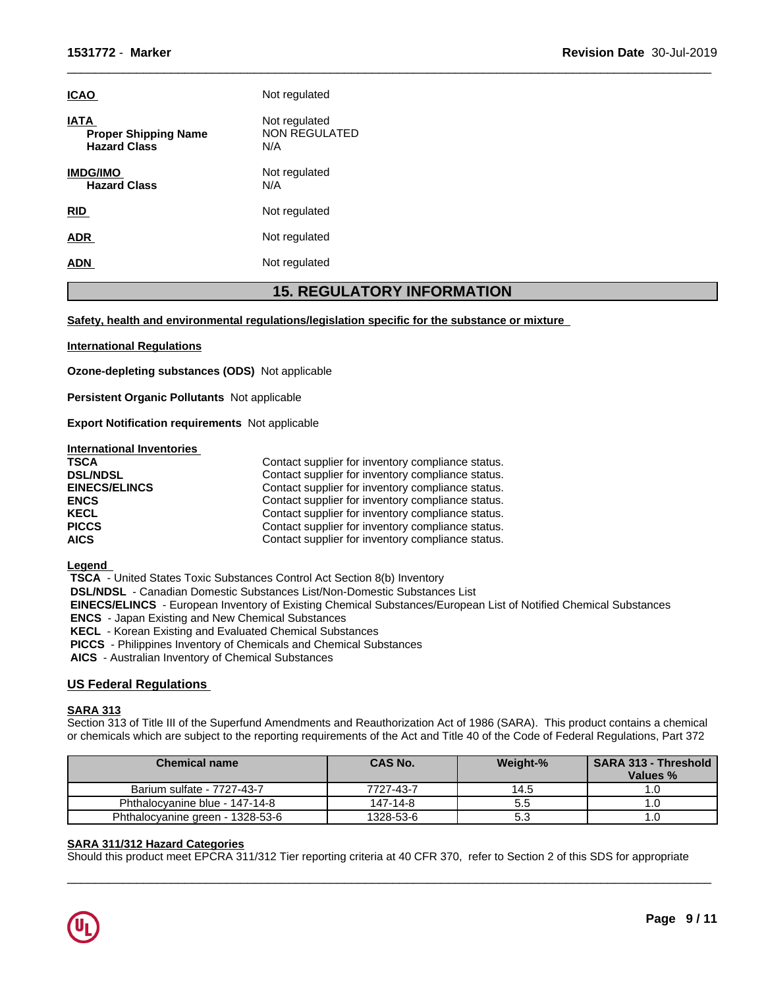| <b>ICAO</b>                                                       | Not regulated                                |
|-------------------------------------------------------------------|----------------------------------------------|
| <b>IATA</b><br><b>Proper Shipping Name</b><br><b>Hazard Class</b> | Not regulated<br><b>NON REGULATED</b><br>N/A |
| <b>IMDG/IMO</b><br><b>Hazard Class</b>                            | Not regulated<br>N/A                         |
| <b>RID</b>                                                        | Not regulated                                |
| <b>ADR</b>                                                        | Not regulated                                |
| <b>ADN</b>                                                        | Not regulated                                |

# **15. REGULATORY INFORMATION**

 $\overline{\phantom{a}}$  ,  $\overline{\phantom{a}}$  ,  $\overline{\phantom{a}}$  ,  $\overline{\phantom{a}}$  ,  $\overline{\phantom{a}}$  ,  $\overline{\phantom{a}}$  ,  $\overline{\phantom{a}}$  ,  $\overline{\phantom{a}}$  ,  $\overline{\phantom{a}}$  ,  $\overline{\phantom{a}}$  ,  $\overline{\phantom{a}}$  ,  $\overline{\phantom{a}}$  ,  $\overline{\phantom{a}}$  ,  $\overline{\phantom{a}}$  ,  $\overline{\phantom{a}}$  ,  $\overline{\phantom{a}}$ 

### **Safety, health and environmental regulations/legislation specific for the substance or mixture**

# **International Regulations**

**Ozone-depleting substances (ODS)** Notapplicable

**Persistent Organic Pollutants** Not applicable

**Export Notification requirements** Not applicable

#### **International Inventories**

| <b>TSCA</b>          | Contact supplier for inventory compliance status. |
|----------------------|---------------------------------------------------|
| <b>DSL/NDSL</b>      | Contact supplier for inventory compliance status. |
| <b>EINECS/ELINCS</b> | Contact supplier for inventory compliance status. |
| <b>ENCS</b>          | Contact supplier for inventory compliance status. |
| <b>KECL</b>          | Contact supplier for inventory compliance status. |
| <b>PICCS</b>         | Contact supplier for inventory compliance status. |
| <b>AICS</b>          | Contact supplier for inventory compliance status. |

**Legend** 

 **TSCA** - United States Toxic Substances Control Act Section 8(b) Inventory

 **DSL/NDSL** - Canadian Domestic Substances List/Non-Domestic Substances List

 **EINECS/ELINCS** - European Inventory of Existing Chemical Substances/European List of Notified Chemical Substances

 **ENCS** - Japan Existing and New Chemical Substances

 **KECL** - Korean Existing and Evaluated Chemical Substances

 **PICCS** - Philippines Inventory of Chemicals and Chemical Substances

 **AICS** - Australian Inventory of Chemical Substances

# **US Federal Regulations**

#### **SARA 313**

Section 313 of Title III of the Superfund Amendments and Reauthorization Act of 1986 (SARA). This product contains a chemical or chemicals which are subject to the reporting requirements of the Act and Title 40 of the Code of Federal Regulations, Part 372

| <b>Chemical name</b>             | <b>CAS No.</b> | Weight-% | <b>SARA 313 - Threshold</b><br>Values % |
|----------------------------------|----------------|----------|-----------------------------------------|
| Barium sulfate - 7727-43-7       | 7727-43-7      | 14.5     |                                         |
| Phthalocyanine blue - 147-14-8   | 147-14-8       | 5.5      |                                         |
| Phthalocyanine green - 1328-53-6 | 1328-53-6      | 5.3      | I.U                                     |

 $\overline{\phantom{a}}$  ,  $\overline{\phantom{a}}$  ,  $\overline{\phantom{a}}$  ,  $\overline{\phantom{a}}$  ,  $\overline{\phantom{a}}$  ,  $\overline{\phantom{a}}$  ,  $\overline{\phantom{a}}$  ,  $\overline{\phantom{a}}$  ,  $\overline{\phantom{a}}$  ,  $\overline{\phantom{a}}$  ,  $\overline{\phantom{a}}$  ,  $\overline{\phantom{a}}$  ,  $\overline{\phantom{a}}$  ,  $\overline{\phantom{a}}$  ,  $\overline{\phantom{a}}$  ,  $\overline{\phantom{a}}$ 

#### **SARA 311/312 Hazard Categories**

Should this product meet EPCRA 311/312 Tier reporting criteria at 40 CFR 370, refer to Section 2 of this SDS for appropriate

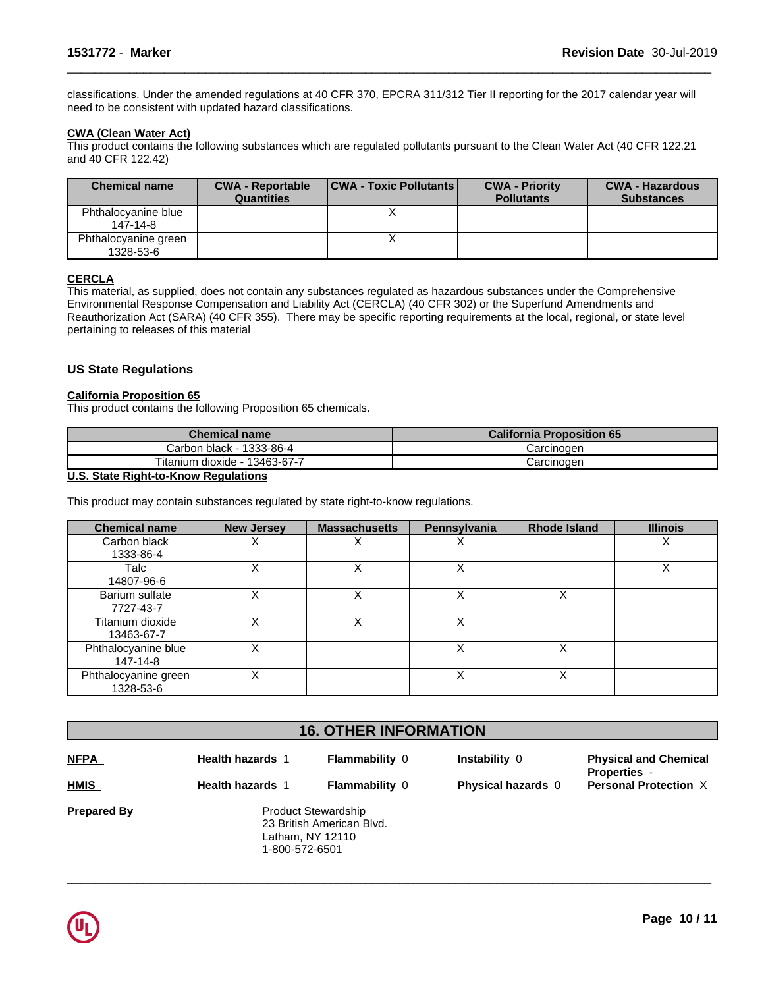classifications. Under the amended regulations at 40 CFR 370, EPCRA 311/312 Tier II reporting for the 2017 calendar year will need to be consistent with updated hazard classifications.

 $\overline{\phantom{a}}$  ,  $\overline{\phantom{a}}$  ,  $\overline{\phantom{a}}$  ,  $\overline{\phantom{a}}$  ,  $\overline{\phantom{a}}$  ,  $\overline{\phantom{a}}$  ,  $\overline{\phantom{a}}$  ,  $\overline{\phantom{a}}$  ,  $\overline{\phantom{a}}$  ,  $\overline{\phantom{a}}$  ,  $\overline{\phantom{a}}$  ,  $\overline{\phantom{a}}$  ,  $\overline{\phantom{a}}$  ,  $\overline{\phantom{a}}$  ,  $\overline{\phantom{a}}$  ,  $\overline{\phantom{a}}$ 

# **CWA (Clean WaterAct)**

This product contains the following substances which are regulated pollutants pursuant to the Clean Water Act (40 CFR 122.21 and 40 CFR 122.42)

| <b>Chemical name</b>              | <b>CWA - Reportable</b><br><b>Quantities</b> | <b>CWA - Toxic Pollutants</b> | <b>CWA - Priority</b><br><b>Pollutants</b> | <b>CWA - Hazardous</b><br><b>Substances</b> |
|-----------------------------------|----------------------------------------------|-------------------------------|--------------------------------------------|---------------------------------------------|
| Phthalocyanine blue<br>147-14-8   |                                              |                               |                                            |                                             |
| Phthalocyanine green<br>1328-53-6 |                                              |                               |                                            |                                             |

# **CERCLA**

This material, as supplied, does not contain any substances regulated as hazardous substances under the Comprehensive Environmental Response Compensation and Liability Act (CERCLA) (40 CFR 302) or the Superfund Amendments and Reauthorization Act (SARA) (40 CFR 355). There may be specific reporting requirements at the local, regional, or state level pertaining to releases of this material

# **US State Regulations**

# **California Proposition 65**

This product contains the following Proposition 65 chemicals.

| Chemical name i                  | <b>California Proposition 65</b> |
|----------------------------------|----------------------------------|
| Carbon black - 1333-86-4         | Carcinoder                       |
| Titanium dioxide -<br>13463-67-7 | شarcinoαer                       |

# **U.S. State Right-to-Know Regulations**

This product may contain substances regulated by state right-to-know regulations.

| <b>Chemical name</b>              | <b>New Jersey</b> | <b>Massachusetts</b> | Pennsylvania | <b>Rhode Island</b> | <b>Illinois</b> |
|-----------------------------------|-------------------|----------------------|--------------|---------------------|-----------------|
| Carbon black<br>1333-86-4         |                   |                      |              |                     | х               |
| Talc<br>14807-96-6                |                   |                      | X            |                     | X               |
| Barium sulfate<br>7727-43-7       |                   |                      |              |                     |                 |
| Titanium dioxide<br>13463-67-7    |                   | ⋏                    | Χ            |                     |                 |
| Phthalocyanine blue<br>147-14-8   |                   |                      | X            |                     |                 |
| Phthalocyanine green<br>1328-53-6 |                   |                      | Χ            |                     |                 |

| <b>16. OTHER INFORMATION</b> |                         |                                                                             |                    |                                                     |  |  |
|------------------------------|-------------------------|-----------------------------------------------------------------------------|--------------------|-----------------------------------------------------|--|--|
| <b>NFPA</b>                  | <b>Health hazards 1</b> | <b>Flammability 0</b>                                                       | Instability 0      | <b>Physical and Chemical</b><br><b>Properties -</b> |  |  |
| <b>HMIS</b>                  | <b>Health hazards 1</b> | <b>Flammability 0</b>                                                       | Physical hazards 0 | <b>Personal Protection X</b>                        |  |  |
| <b>Prepared By</b>           | 1-800-572-6501          | <b>Product Stewardship</b><br>23 British American Blvd.<br>Latham, NY 12110 |                    |                                                     |  |  |